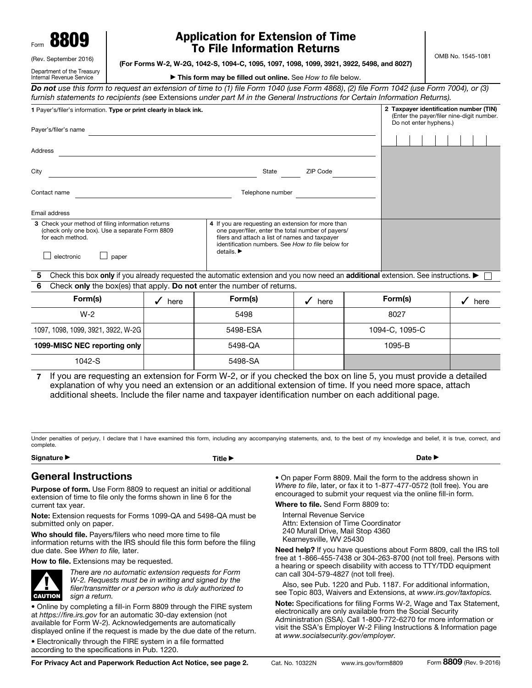| Form | 8809 |
|------|------|
|      |      |

## Application for Extension of Time To File Information Returns

OMB No. 1545-1081

| (Rev. September 2016)                                  |
|--------------------------------------------------------|
| Department of the Treasury<br>Internal Revenue Service |

(For Forms W-2, W-2G, 1042-S, 1094-C, 1095, 1097, 1098, 1099, 3921, 3922, 5498, and 8027)

▶ This form may be filled out online. See *How to file* below.

*Do not use this form to request an extension of time to (1) file Form 1040 (use Form 4868)*, *(2) file Form 1042 (use Form 7004), or (3) furnish statements to recipients (see* Extensions *under part M in the General Instructions for Certain Information Returns).*

| 1 Payer's/filer's information. Type or print clearly in black ink.                                                                             |                                                                                                                                                                                                                                                   |  | 2 Taxpayer identification number (TIN)<br>(Enter the payer/filer nine-digit number.<br>Do not enter hyphens.) |  |  |  |  |  |  |  |
|------------------------------------------------------------------------------------------------------------------------------------------------|---------------------------------------------------------------------------------------------------------------------------------------------------------------------------------------------------------------------------------------------------|--|---------------------------------------------------------------------------------------------------------------|--|--|--|--|--|--|--|
| Payer's/filer's name                                                                                                                           |                                                                                                                                                                                                                                                   |  |                                                                                                               |  |  |  |  |  |  |  |
|                                                                                                                                                |                                                                                                                                                                                                                                                   |  |                                                                                                               |  |  |  |  |  |  |  |
| Address                                                                                                                                        |                                                                                                                                                                                                                                                   |  |                                                                                                               |  |  |  |  |  |  |  |
| City                                                                                                                                           | ZIP Code<br>State                                                                                                                                                                                                                                 |  |                                                                                                               |  |  |  |  |  |  |  |
| Contact name                                                                                                                                   | Telephone number                                                                                                                                                                                                                                  |  |                                                                                                               |  |  |  |  |  |  |  |
| Email address                                                                                                                                  |                                                                                                                                                                                                                                                   |  |                                                                                                               |  |  |  |  |  |  |  |
| 3 Check your method of filing information returns<br>(check only one box). Use a separate Form 8809<br>for each method.<br>electronic<br>paper | 4 If you are requesting an extension for more than<br>one payer/filer, enter the total number of payers/<br>filers and attach a list of names and taxpayer<br>identification numbers. See How to file below for<br>details. $\blacktriangleright$ |  |                                                                                                               |  |  |  |  |  |  |  |
| 5                                                                                                                                              | Check this box only if you already requested the automatic extension and you now need an <b>additional</b> extension. See instructions. $\blacktriangleright$                                                                                     |  |                                                                                                               |  |  |  |  |  |  |  |

6 Check only the box(es) that apply. Do not enter the number of returns.

| Form(s)                            | here | Form(s)  | here | Form(s)        | here |
|------------------------------------|------|----------|------|----------------|------|
| $W-2$                              |      | 5498     |      | 8027           |      |
| 1097, 1098, 1099, 3921, 3922, W-2G |      | 5498-ESA |      | 1094-C, 1095-C |      |
| 1099-MISC NEC reporting only       |      | 5498-QA  |      | $1095 - B$     |      |
| $1042-S$                           |      | 5498-SA  |      |                |      |

7 If you are requesting an extension for Form W-2, or if you checked the box on line 5, you must provide a detailed explanation of why you need an extension or an additional extension of time. If you need more space, attach additional sheets. Include the filer name and taxpayer identification number on each additional page.

Under penalties of perjury, I declare that I have examined this form, including any accompanying statements, and, to the best of my knowledge and belief, it is true, correct, and complete.

Signature ▶ Date ▶ Date ▶ Title ▶ Part of The Order All the Order All the Order All the Order All the Order All the Order All the Order All the Order All the Order All the Order All the Order All the Order All the Order A

## General Instructions

Purpose of form. Use Form 8809 to request an initial or additional extension of time to file only the forms shown in line 6 for the current tax year.

Note: Extension requests for Forms 1099-QA and 5498-QA must be submitted only on paper.

Who should file. Payers/filers who need more time to file information returns with the IRS should file this form before the filing due date. See *When to file,* later.

How to file. Extensions may be requested.



*There are no automatic extension requests for Form W-2. Requests must be in writing and signed by the filer/transmitter or a person who is duly authorized to sign a return.*

• Online by completing a fill-in Form 8809 through the FIRE system at *https://fire.irs.gov* for an automatic 30-day extension (not available for Form W-2). Acknowledgements are automatically displayed online if the request is made by the due date of the return.

• Electronically through the FIRE system in a file formatted according to the specifications in Pub. 1220.

• On paper Form 8809. Mail the form to the address shown in *Where to file*, later, or fax it to 1-877-477-0572 (toll free). You are encouraged to submit your request via the online fill-in form.

Where to file. Send Form 8809 to:

Internal Revenue Service Attn: Extension of Time Coordinator 240 Murall Drive, Mail Stop 4360 Kearneysville, WV 25430

Need help? If you have questions about Form 8809, call the IRS toll free at 1-866-455-7438 or 304-263-8700 (not toll free). Persons with a hearing or speech disability with access to TTY/TDD equipment can call 304-579-4827 (not toll free).

Also, see Pub. 1220 and Pub. 1187. For additional information, see Topic 803, Waivers and Extensions, at *www.irs.gov/taxtopics.*

Note: Specifications for filing Forms W-2, Wage and Tax Statement, electronically are only available from the Social Security Administration (SSA). Call 1-800-772-6270 for more information or visit the SSA's Employer W-2 Filing Instructions & Information page at *www.socialsecurity.gov/employer.*